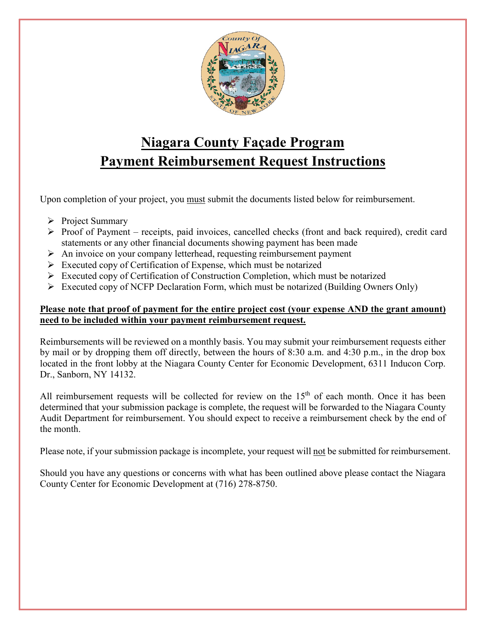

# **Niagara County Façade Program Payment Reimbursement Request Instructions**

Upon completion of your project, you must submit the documents listed below for reimbursement.

- $\triangleright$  Project Summary
- $\triangleright$  Proof of Payment receipts, paid invoices, cancelled checks (front and back required), credit card statements or any other financial documents showing payment has been made
- $\triangleright$  An invoice on your company letterhead, requesting reimbursement payment
- $\triangleright$  Executed copy of Certification of Expense, which must be notarized
- $\triangleright$  Executed copy of Certification of Construction Completion, which must be notarized
- $\triangleright$  Executed copy of NCFP Declaration Form, which must be notarized (Building Owners Only)

#### **Please note that proof of payment for the entire project cost (your expense AND the grant amount) need to be included within your payment reimbursement request.**

Reimbursements will be reviewed on a monthly basis. You may submit your reimbursement requests either by mail or by dropping them off directly, between the hours of 8:30 a.m. and 4:30 p.m., in the drop box located in the front lobby at the Niagara County Center for Economic Development, 6311 Inducon Corp. Dr., Sanborn, NY 14132.

All reimbursement requests will be collected for review on the 15<sup>th</sup> of each month. Once it has been determined that your submission package is complete, the request will be forwarded to the Niagara County Audit Department for reimbursement. You should expect to receive a reimbursement check by the end of the month.

Please note, if your submission package is incomplete, your request will not be submitted for reimbursement.

Should you have any questions or concerns with what has been outlined above please contact the Niagara County Center for Economic Development at (716) 278-8750.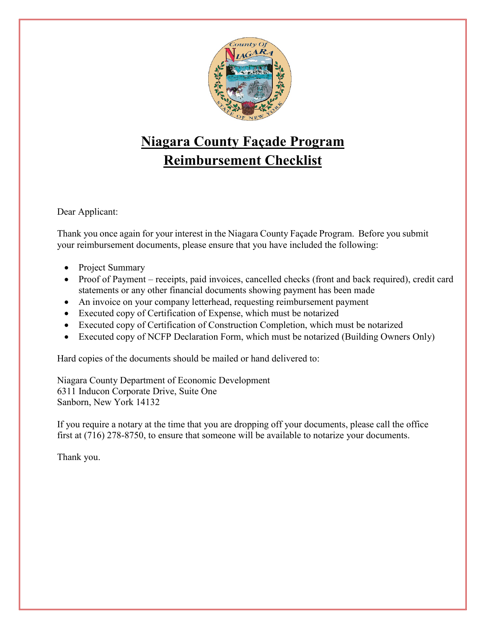

# **Niagara County Façade Program Reimbursement Checklist**

Dear Applicant:

Thank you once again for your interest in the Niagara County Façade Program. Before you submit your reimbursement documents, please ensure that you have included the following:

- Project Summary
- Proof of Payment receipts, paid invoices, cancelled checks (front and back required), credit card statements or any other financial documents showing payment has been made
- An invoice on your company letterhead, requesting reimbursement payment
- Executed copy of Certification of Expense, which must be notarized
- Executed copy of Certification of Construction Completion, which must be notarized
- Executed copy of NCFP Declaration Form, which must be notarized (Building Owners Only)

Hard copies of the documents should be mailed or hand delivered to:

Niagara County Department of Economic Development 6311 Inducon Corporate Drive, Suite One Sanborn, New York 14132

If you require a notary at the time that you are dropping off your documents, please call the office first at (716) 278-8750, to ensure that someone will be available to notarize your documents.

Thank you.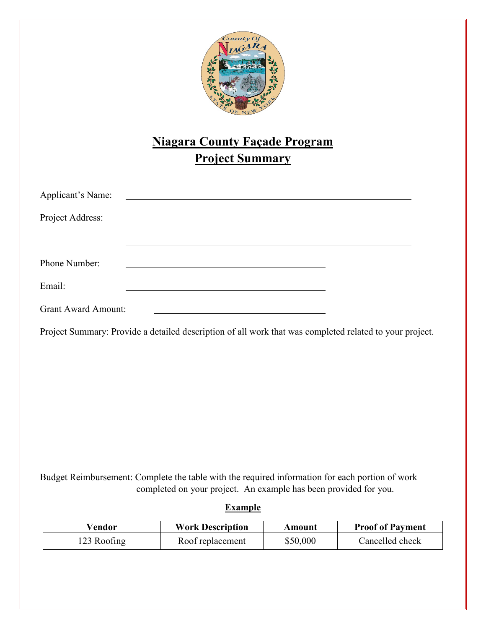

# **Niagara County Façade Program Project Summary**

| Applicant's Name:          |  |                                                                                                                       |  |  |
|----------------------------|--|-----------------------------------------------------------------------------------------------------------------------|--|--|
| Project Address:           |  | <u> 1989 - Johann Harry Harry Harry Harry Harry Harry Harry Harry Harry Harry Harry Harry Harry Harry Harry Harry</u> |  |  |
|                            |  |                                                                                                                       |  |  |
| Phone Number:              |  |                                                                                                                       |  |  |
| Email:                     |  |                                                                                                                       |  |  |
| <b>Grant Award Amount:</b> |  |                                                                                                                       |  |  |

Project Summary: Provide a detailed description of all work that was completed related to your project.

Budget Reimbursement: Complete the table with the required information for each portion of work completed on your project. An example has been provided for you.

**Example** 

| Vendor      | <b>Work Description</b> | Amount   | <b>Proof of Payment</b> |
|-------------|-------------------------|----------|-------------------------|
| 123 Roofing | Roof replacement        | \$50,000 | Cancelled check         |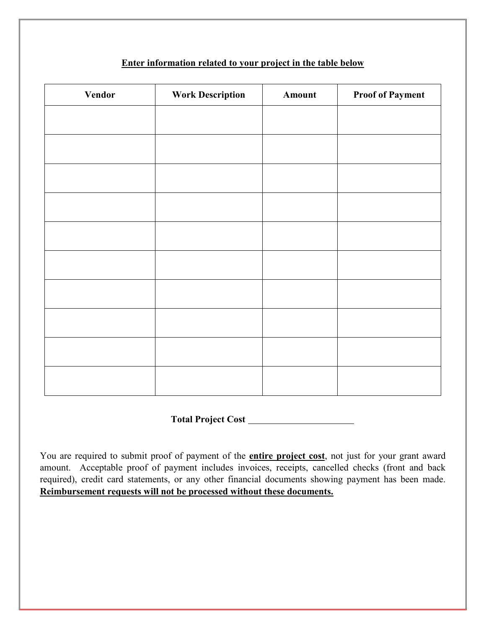#### **Enter information related to your project in the table below**

| Vendor | <b>Work Description</b> | Amount | <b>Proof of Payment</b> |
|--------|-------------------------|--------|-------------------------|
|        |                         |        |                         |
|        |                         |        |                         |
|        |                         |        |                         |
|        |                         |        |                         |
|        |                         |        |                         |
|        |                         |        |                         |
|        |                         |        |                         |
|        |                         |        |                         |
|        |                         |        |                         |
|        |                         |        |                         |

**Total Project Cost**

You are required to submit proof of payment of the **entire project cost**, not just for your grant award amount. Acceptable proof of payment includes invoices, receipts, cancelled checks (front and back required), credit card statements, or any other financial documents showing payment has been made. **Reimbursement requests will not be processed without these documents.**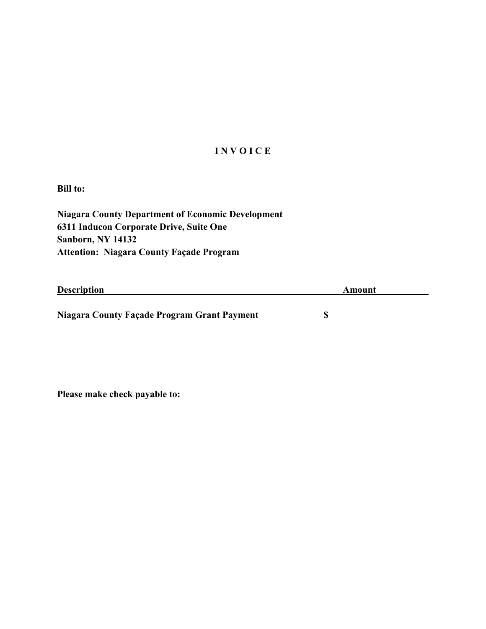#### **I N V O I C E**

**Bill to:**

**Niagara County Department of Economic Development 6311 Inducon Corporate Drive, Suite One Sanborn, NY 14132 Attention: Niagara County Façade Program**

| <b>Description</b>                          | Amount |
|---------------------------------------------|--------|
|                                             |        |
| Niagara County Façade Program Grant Payment |        |

**Please make check payable to:**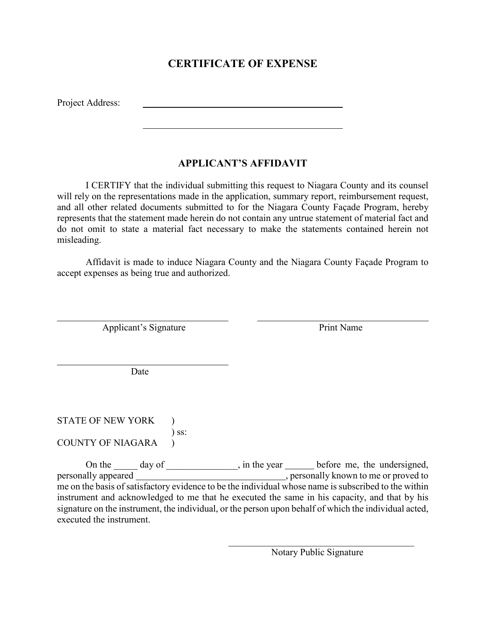### **CERTIFICATE OF EXPENSE**

Project Address:

 $\overline{a}$ 

 $\overline{a}$ 

#### **APPLICANT'S AFFIDAVIT**

I CERTIFY that the individual submitting this request to Niagara County and its counsel will rely on the representations made in the application, summary report, reimbursement request, and all other related documents submitted to for the Niagara County Façade Program, hereby represents that the statement made herein do not contain any untrue statement of material fact and do not omit to state a material fact necessary to make the statements contained herein not misleading.

Affidavit is made to induce Niagara County and the Niagara County Façade Program to accept expenses as being true and authorized.

Applicant's Signature Print Name

Date

STATE OF NEW YORK ) ) ss: COUNTY OF NIAGARA )

On the day of degree in the year before me, the undersigned, personally appeared , personally known to me or proved to me on the basis of satisfactory evidence to be the individual whose name is subscribed to the within instrument and acknowledged to me that he executed the same in his capacity, and that by his signature on the instrument, the individual, or the person upon behalf of which the individual acted, executed the instrument.

 $\mathcal{L}_\mathcal{L}$  , which is a set of the contract of the contract of the contract of the contract of the contract of the contract of the contract of the contract of the contract of the contract of the contract of the contra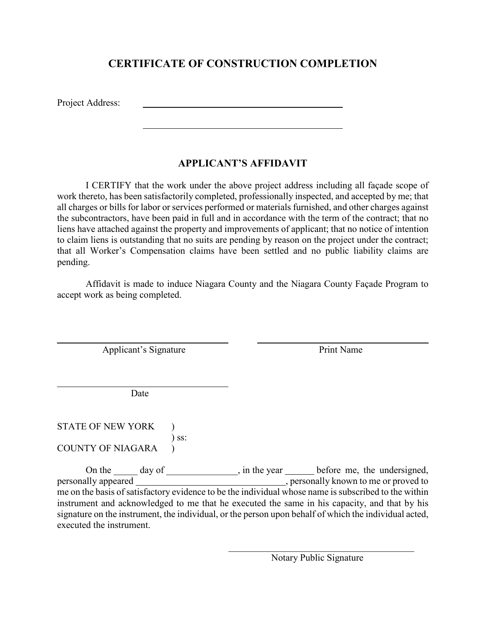## **CERTIFICATE OF CONSTRUCTION COMPLETION**

Project Address:

 $\overline{a}$ 

 $\overline{a}$ 

#### **APPLICANT'S AFFIDAVIT**

I CERTIFY that the work under the above project address including all façade scope of work thereto, has been satisfactorily completed, professionally inspected, and accepted by me; that all charges or bills for labor or services performed or materials furnished, and other charges against the subcontractors, have been paid in full and in accordance with the term of the contract; that no liens have attached against the property and improvements of applicant; that no notice of intention to claim liens is outstanding that no suits are pending by reason on the project under the contract; that all Worker's Compensation claims have been settled and no public liability claims are pending.

Affidavit is made to induce Niagara County and the Niagara County Façade Program to accept work as being completed.

Applicant's Signature Print Name

Date

STATE OF NEW YORK ) ) ss: COUNTY OF NIAGARA )

On the \_\_\_\_\_ day of \_\_\_\_\_\_\_\_\_\_\_, in the year \_\_\_\_\_\_ before me, the undersigned, personally appeared , personally known to me or proved to me on the basis of satisfactory evidence to be the individual whose name is subscribed to the within instrument and acknowledged to me that he executed the same in his capacity, and that by his signature on the instrument, the individual, or the person upon behalf of which the individual acted, executed the instrument.

 $\mathcal{L}_\mathcal{L}$  , which is a set of the contract of the contract of the contract of the contract of the contract of the contract of the contract of the contract of the contract of the contract of the contract of the contra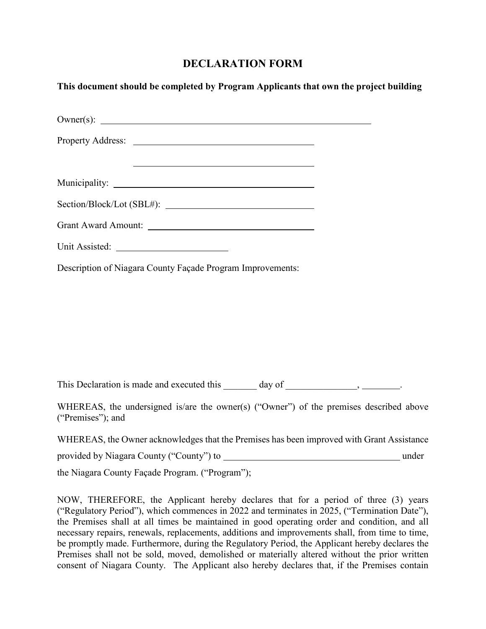## **DECLARATION FORM**

| This document should be completed by Program Applicants that own the project building |  |
|---------------------------------------------------------------------------------------|--|
|                                                                                       |  |
|                                                                                       |  |
| <u> 2000 - Andrea Andrew Maria (h. 1888).</u>                                         |  |
|                                                                                       |  |
|                                                                                       |  |
| Grant Award Amount:                                                                   |  |
|                                                                                       |  |
| Description of Niagara County Façade Program Improvements:                            |  |
|                                                                                       |  |
|                                                                                       |  |
|                                                                                       |  |

This Declaration is made and executed this day of  $\qquad \qquad , \qquad$ 

WHEREAS, the undersigned is/are the owner(s) ("Owner") of the premises described above ("Premises"); and

WHEREAS, the Owner acknowledges that the Premises has been improved with Grant Assistance

provided by Niagara County ("County") to under

the Niagara County Façade Program. ("Program");

NOW, THEREFORE, the Applicant hereby declares that for a period of three (3) years ("Regulatory Period"), which commences in 2022 and terminates in 2025, ("Termination Date"), the Premises shall at all times be maintained in good operating order and condition, and all necessary repairs, renewals, replacements, additions and improvements shall, from time to time, be promptly made. Furthermore, during the Regulatory Period, the Applicant hereby declares the Premises shall not be sold, moved, demolished or materially altered without the prior written consent of Niagara County. The Applicant also hereby declares that, if the Premises contain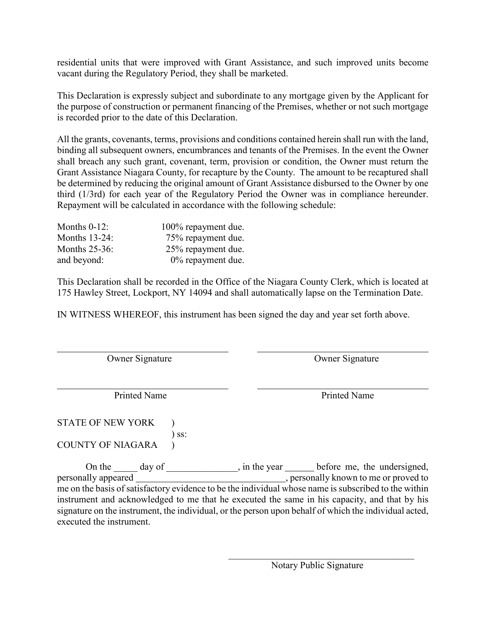residential units that were improved with Grant Assistance, and such improved units become vacant during the Regulatory Period, they shall be marketed.

This Declaration is expressly subject and subordinate to any mortgage given by the Applicant for the purpose of construction or permanent financing of the Premises, whether or not such mortgage is recorded prior to the date of this Declaration.

All the grants, covenants, terms, provisions and conditions contained herein shall run with the land, binding all subsequent owners, encumbrances and tenants of the Premises. In the event the Owner shall breach any such grant, covenant, term, provision or condition, the Owner must return the Grant Assistance Niagara County, for recapture by the County. The amount to be recaptured shall be determined by reducing the original amount of Grant Assistance disbursed to the Owner by one third (1/3rd) for each year of the Regulatory Period the Owner was in compliance hereunder. Repayment will be calculated in accordance with the following schedule:

| Months $0-12$ :      | 100% repayment due.  |
|----------------------|----------------------|
| <b>Months 13-24:</b> | 75% repayment due.   |
| Months $25-36$ :     | 25% repayment due.   |
| and beyond:          | $0\%$ repayment due. |

This Declaration shall be recorded in the Office of the Niagara County Clerk, which is located at 175 Hawley Street, Lockport, NY 14094 and shall automatically lapse on the Termination Date.

IN WITNESS WHEREOF, this instrument has been signed the day and year set forth above.

| Owner Signature                 | Owner Signature                                                                                                                                                                                       |  |  |
|---------------------------------|-------------------------------------------------------------------------------------------------------------------------------------------------------------------------------------------------------|--|--|
| <b>Printed Name</b>             |                                                                                                                                                                                                       |  |  |
|                                 | <b>Printed Name</b>                                                                                                                                                                                   |  |  |
| <b>STATE OF NEW YORK</b><br>SS: |                                                                                                                                                                                                       |  |  |
| <b>COUNTY OF NIAGARA</b>        |                                                                                                                                                                                                       |  |  |
|                                 | , in the year <u>section</u> before me, the undersigned,                                                                                                                                              |  |  |
|                                 | me on the basis of satisfactory evidence to be the individual whose name is subscribed to the within                                                                                                  |  |  |
| executed the instrument.        | instrument and acknowledged to me that he executed the same in his capacity, and that by his<br>signature on the instrument, the individual, or the person upon behalf of which the individual acted, |  |  |

 $\mathcal{L}_\mathcal{L}$  , which is a set of the contract of the contract of the contract of the contract of the contract of the contract of the contract of the contract of the contract of the contract of the contract of the contra